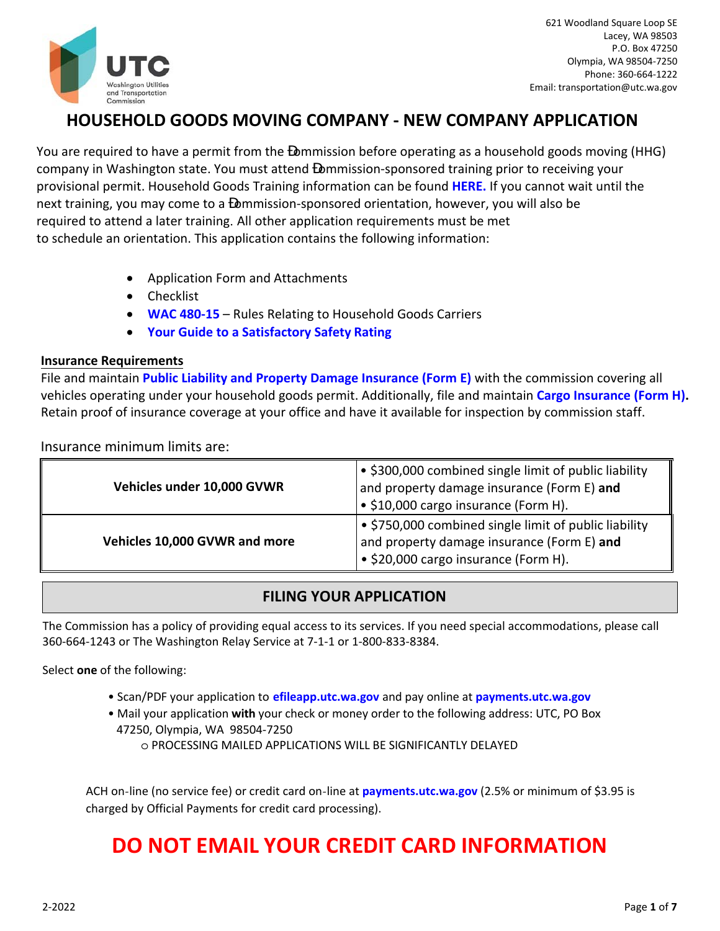

## **HOUSEHOLD GOODS MOVING COMPANY ‐ NEW COMPANY APPLICATION**

You are required to have a permit from the ommission before operating as a household goods moving (HHG) company in Washington state. You must attend ommission‐sponsored training prior to receiving your provisional permit. Household Goods Training information can be found **[HERE.](https://www.utc.wa.gov/regulated-industries/transportation/regulated-transportation-industries/household-goods-carriers/household-goods-industry-training)** If you cannot wait until the next training, you may come to a ommission-sponsored orientation, however, you will also be required to attend a later training. All other application requirements must be met to schedule an orientation. This application contains the following information:

- Application Form and Attachments
- Checklist
- **[WAC 480‐15](http://apps.leg.wa.gov/wac/default.aspx?cite=480-15)**  Rules Relating to Household Goods Carriers
- **Your Guide t[o a Satisfactory Safety](http://www.utc.wa.gov/publicSafety/Documents/UTC%20-%20Your%20Guide%20to%20Achieving%20a%20Satisfactory%20Safety%20Record%20March%202014.pdf) Rating**

#### **Insurance Requirements**

File and maintain **Public Liability and Property Damage Insurance (Form E)** with the commission covering all vehicles operating under your household goods permit. Additionally, file and maintain **Cargo Insurance (Form H).**  Retain proof of insurance coverage at your office and have it available for inspection by commission staff.

Insurance minimum limits are:

| Vehicles under 10,000 GVWR    | • \$300,000 combined single limit of public liability<br>and property damage insurance (Form E) and<br>• \$10,000 cargo insurance (Form H).         |  |
|-------------------------------|-----------------------------------------------------------------------------------------------------------------------------------------------------|--|
| Vehicles 10,000 GVWR and more | • \$750,000 combined single limit of public liability<br>and property damage insurance (Form E) and<br>$\bullet$ \$20,000 cargo insurance (Form H). |  |

### **FILING YOUR APPLICATION**

The Commission has a policy of providing equal access to its services. If you need special accommodations, please call 360‐664‐1243 or The Washington Relay Service at 7‐1‐1 or 1‐800‐833‐8384.

Select **one** of the following:

- Scan/PDF your application to **[efileapp.utc.wa.gov](https://efiling.utc.wa.gov/Form)** and pay online at **[payments.utc.wa.gov](https://www.utc.wa.gov/documents-and-proceedings/online-payments/make-payment-now)**
- Mail your application **with** your check or money order to the following address: UTC, PO Box 47250, Olympia, WA 98504-7250
	- o PROCESSING MAILED APPLICATIONS WILL BE SIGNIFICANTLY DELAYED

ACH on-line (no service fee) or credit card on-line at **[payments.utc.wa.gov](https://www.utc.wa.gov/documents-and-proceedings/online-payments/make-payment-now)** (2.5% or minimum of \$3.95 is charged by Official Payments for credit card processing).

# **DO NOT EMAIL YOUR CREDIT CARD INFORMATION**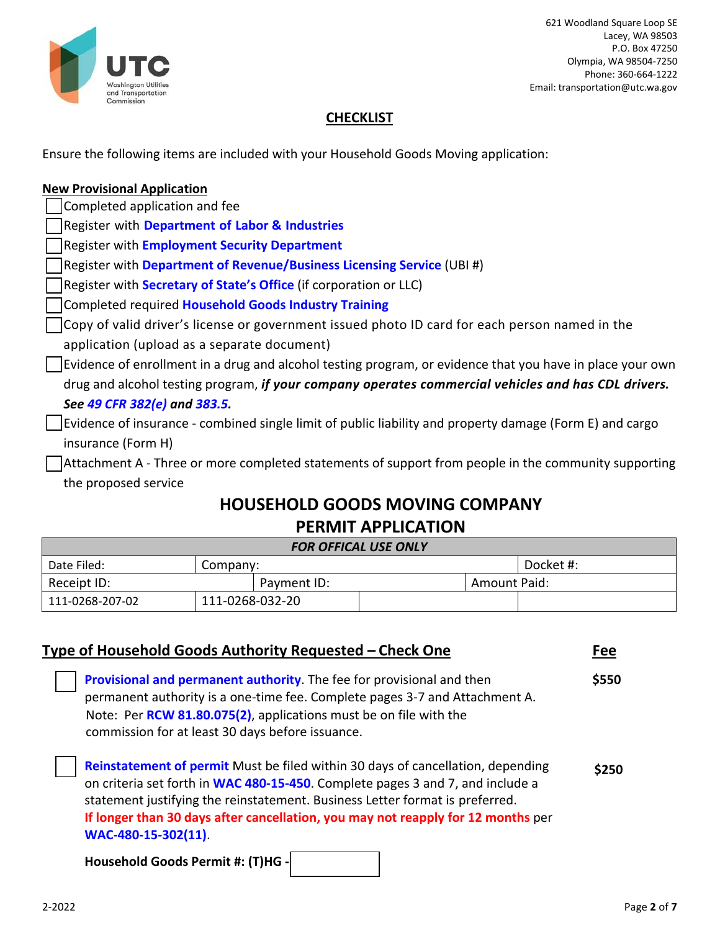

621 Woodland Square Loop SE Lacey, WA 98503 P.O. Box 47250 Olympia, WA 98504‐7250 Phone: 360‐664‐1222 Email: transportation@utc.wa.gov

### **CHECKLIST**

Ensure the following items are included with your Household Goods Moving application:

| <b>New Provisional Application</b>                                                                        |
|-----------------------------------------------------------------------------------------------------------|
| Completed application and fee                                                                             |
| Register with Department of Labor & Industries                                                            |
| Register with <b>Employment Security Department</b>                                                       |
| Register with Department of Revenue/Business Licensing Service (UBI #)                                    |
| Register with <b>Secretary of State's Office</b> (if corporation or LLC)                                  |
| Completed required Household Goods Industry Training                                                      |
| Copy of valid driver's license or government issued photo ID card for each person named in the            |
| application (upload as a separate document)                                                               |
| Evidence of enrollment in a drug and alcohol testing program, or evidence that you have in place your own |
| drug and alcohol testing program, if your company operates commercial vehicles and has CDL drivers.       |
| See 49 CFR 382(e) and 383.5.                                                                              |
| Evidence of insurance - combined single limit of public liability and property damage (Form E) and cargo  |
| insurance (Form H)                                                                                        |
| Attachment A - Three or more completed statements of support from people in the community supporting      |
| the proposed service                                                                                      |

## **HOUSEHOLD GOODS MOVING COMPANY PERMIT APPLICATION**

| <b>FOR OFFICAL USE ONLY</b> |                 |             |  |              |           |
|-----------------------------|-----------------|-------------|--|--------------|-----------|
| Date Filed:                 | Company:        |             |  |              | Docket #: |
| Receipt ID:                 |                 | Payment ID: |  | Amount Paid: |           |
| 111-0268-207-02             | 111-0268-032-20 |             |  |              |           |

| Type of Household Goods Authority Requested – Check One |                                                                                                                                                                                                                                                                                                                                                              |       |
|---------------------------------------------------------|--------------------------------------------------------------------------------------------------------------------------------------------------------------------------------------------------------------------------------------------------------------------------------------------------------------------------------------------------------------|-------|
|                                                         | Provisional and permanent authority. The fee for provisional and then<br>permanent authority is a one-time fee. Complete pages 3-7 and Attachment A.<br>Note: Per RCW 81.80.075(2), applications must be on file with the<br>commission for at least 30 days before issuance.                                                                                | \$550 |
|                                                         | Reinstatement of permit Must be filed within 30 days of cancellation, depending<br>on criteria set forth in WAC 480-15-450. Complete pages 3 and 7, and include a<br>statement justifying the reinstatement. Business Letter format is preferred.<br>If longer than 30 days after cancellation, you may not reapply for 12 months per<br>WAC-480-15-302(11). | \$250 |
|                                                         |                                                                                                                                                                                                                                                                                                                                                              |       |

**Household Goods Permit #: (T)HG ‐**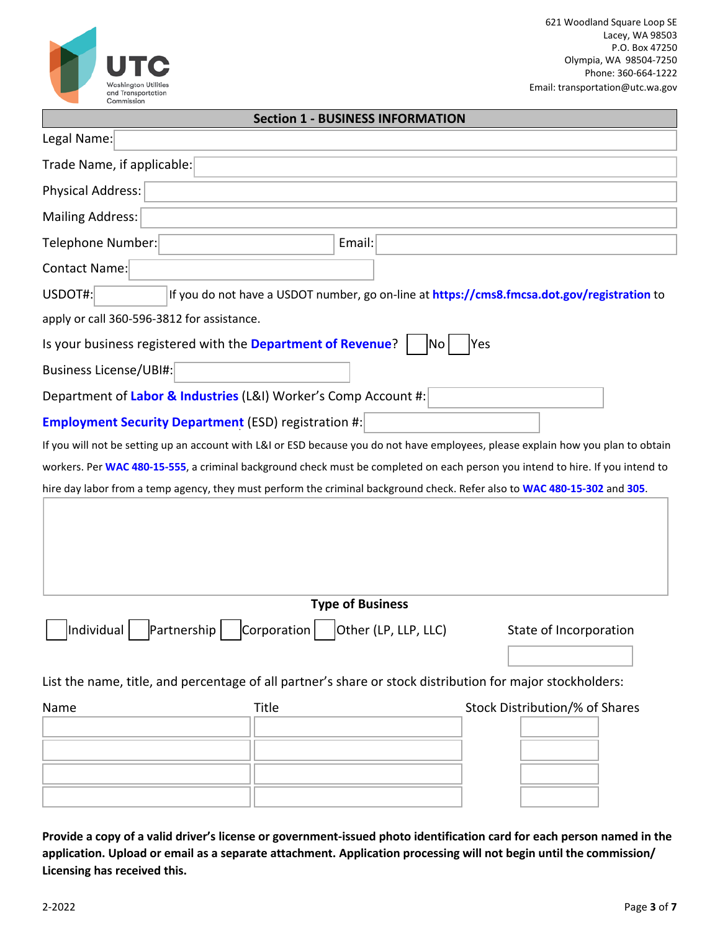

#### **Section 1 - BUSINESS INFORMATION**

| Legal Name:                                                                                                                       |                         |                      |                                                                                             |
|-----------------------------------------------------------------------------------------------------------------------------------|-------------------------|----------------------|---------------------------------------------------------------------------------------------|
| Trade Name, if applicable:                                                                                                        |                         |                      |                                                                                             |
| <b>Physical Address:</b>                                                                                                          |                         |                      |                                                                                             |
| <b>Mailing Address:</b>                                                                                                           |                         |                      |                                                                                             |
| Telephone Number:                                                                                                                 | Email:                  |                      |                                                                                             |
| Contact Name:                                                                                                                     |                         |                      |                                                                                             |
| USDOT#:                                                                                                                           |                         |                      | If you do not have a USDOT number, go on-line at https://cms8.fmcsa.dot.gov/registration to |
| apply or call 360-596-3812 for assistance.                                                                                        |                         |                      |                                                                                             |
| Is your business registered with the Department of Revenue?                                                                       |                         | No                   | Yes                                                                                         |
| Business License/UBI#:                                                                                                            |                         |                      |                                                                                             |
| Department of Labor & Industries (L&I) Worker's Comp Account #:                                                                   |                         |                      |                                                                                             |
| <b>Employment Security Department (ESD) registration #:</b>                                                                       |                         |                      |                                                                                             |
| If you will not be setting up an account with L&I or ESD because you do not have employees, please explain how you plan to obtain |                         |                      |                                                                                             |
| workers. Per WAC 480-15-555, a criminal background check must be completed on each person you intend to hire. If you intend to    |                         |                      |                                                                                             |
| hire day labor from a temp agency, they must perform the criminal background check. Refer also to WAC 480-15-302 and 305.         |                         |                      |                                                                                             |
|                                                                                                                                   |                         |                      |                                                                                             |
|                                                                                                                                   | <b>Type of Business</b> |                      |                                                                                             |
| Individual<br>Partnership                                                                                                         | Corporation             | Other (LP, LLP, LLC) | State of Incorporation                                                                      |
| List the name, title, and percentage of all partner's share or stock distribution for major stockholders:                         |                         |                      |                                                                                             |
| Name                                                                                                                              | <b>Title</b>            |                      | Stock Distribution/% of Shares                                                              |
|                                                                                                                                   |                         |                      |                                                                                             |

Provide a copy of a valid driver's license or government-issued photo identification card for each person named in the application. Upload or email as a separate attachment. Application processing will not begin until the commission/ **Licensing has received this.**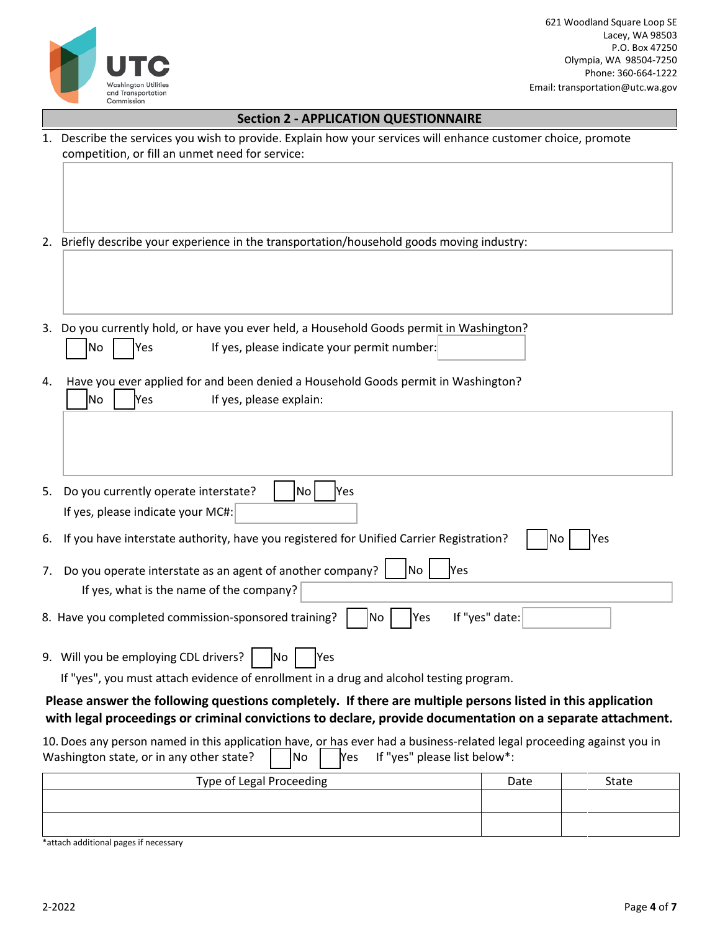

621 Woodland Square Loop SE Lacey, WA 98503 P.O. Box 47250 Olympia, WA 98504-7250 Phone: 360-664-1222 Email: transportation@utc.wa.gov

| <b>Section 2 - APPLICATION QUESTIONNAIRE</b>                                                                                                                                                                             |                |       |
|--------------------------------------------------------------------------------------------------------------------------------------------------------------------------------------------------------------------------|----------------|-------|
| 1. Describe the services you wish to provide. Explain how your services will enhance customer choice, promote<br>competition, or fill an unmet need for service:                                                         |                |       |
|                                                                                                                                                                                                                          |                |       |
| 2. Briefly describe your experience in the transportation/household goods moving industry:                                                                                                                               |                |       |
|                                                                                                                                                                                                                          |                |       |
|                                                                                                                                                                                                                          |                |       |
| 3. Do you currently hold, or have you ever held, a Household Goods permit in Washington?                                                                                                                                 |                |       |
| If yes, please indicate your permit number:<br>Yes<br>No                                                                                                                                                                 |                |       |
| Have you ever applied for and been denied a Household Goods permit in Washington?<br>4.<br>No<br>If yes, please explain:<br> Yes                                                                                         |                |       |
|                                                                                                                                                                                                                          |                |       |
|                                                                                                                                                                                                                          |                |       |
| Do you currently operate interstate?<br>Yes<br>5.<br>lNo.<br>If yes, please indicate your MC#:                                                                                                                           |                |       |
| If you have interstate authority, have you registered for Unified Carrier Registration?<br>6.                                                                                                                            | No             | Yes   |
| Do you operate interstate as an agent of another company?<br>No<br>Yes<br>7.                                                                                                                                             |                |       |
| If yes, what is the name of the company?                                                                                                                                                                                 |                |       |
| 8. Have you completed commission-sponsored training?<br> Yes<br>No                                                                                                                                                       | If "yes" date: |       |
| 9. Will you be employing CDL drivers?<br>Yes<br>INo.                                                                                                                                                                     |                |       |
| If "yes", you must attach evidence of enrollment in a drug and alcohol testing program.                                                                                                                                  |                |       |
| Please answer the following questions completely. If there are multiple persons listed in this application<br>with legal proceedings or criminal convictions to declare, provide documentation on a separate attachment. |                |       |
| 10. Does any person named in this application have, or has ever had a business-related legal proceeding against you in<br>Washington state, or in any other state?<br>If "yes" please list below*:<br>No<br>Yes          |                |       |
| Type of Legal Proceeding                                                                                                                                                                                                 | Date           | State |
|                                                                                                                                                                                                                          |                |       |

\*attach additional pages if necessary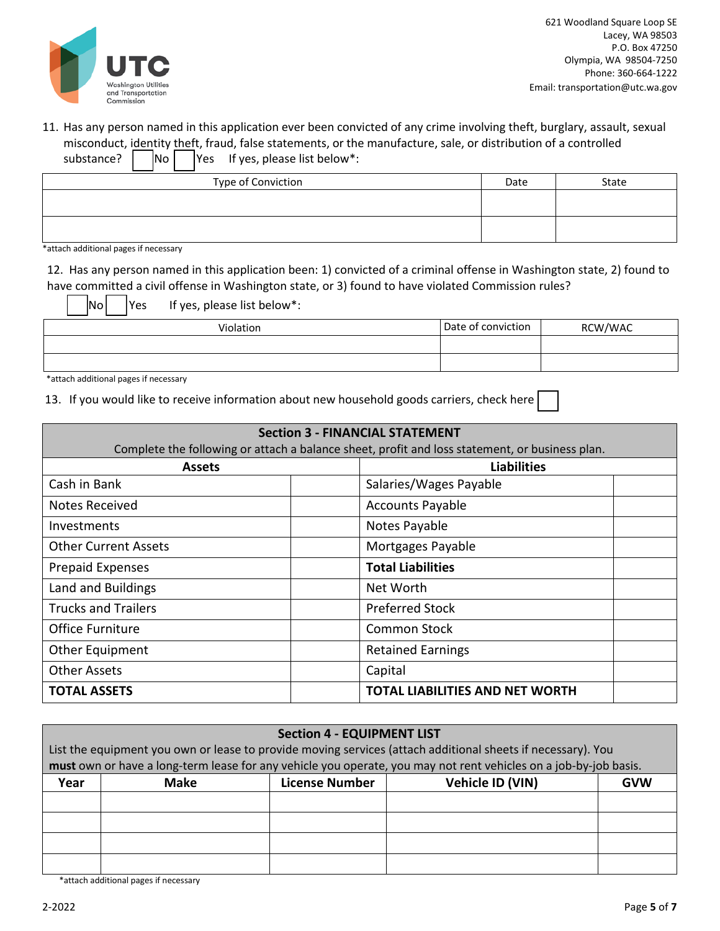

621 Woodland Square Loop SE Lacey, WA 98503 P.O. Box 47250 Olympia, WA 98504-7250 Phone: 360-664-1222 Email: transportation@utc.wa.gov

#### 11. Has any person named in this application ever been convicted of any crime involving theft, burglary, assault, sexual misconduct, identity theft, fraud, false statements, or the manufacture, sale, or distribution of a controlled substance?  $\begin{vmatrix} \text{No} & \text{Yes} \\ \end{vmatrix}$  if yes, please list below\*:

| Type of Conviction | Date | State |
|--------------------|------|-------|
|                    |      |       |
|                    |      |       |
|                    |      |       |

\*attach additional pages if necessary

12. Has any person named in this application been: 1) convicted of a criminal offense in Washington state, 2) found to have committed a civil offense in Washington state, or 3) found to have violated Commission rules?

 $\begin{array}{|c|c|c|c|c|}\n\hline\n\text{No} & \text{Yes} & \text{If yes, please list below}: \end{array}$ Violation **Date of conviction** RCW/WAC

\*attach additional pages if necessary

13. If you would like to receive information about new household goods carriers, check here

| <b>Section 3 - FINANCIAL STATEMENT</b>                                                         |                                        |  |  |
|------------------------------------------------------------------------------------------------|----------------------------------------|--|--|
| Complete the following or attach a balance sheet, profit and loss statement, or business plan. |                                        |  |  |
| <b>Assets</b>                                                                                  | <b>Liabilities</b>                     |  |  |
| Cash in Bank                                                                                   | Salaries/Wages Payable                 |  |  |
| Notes Received                                                                                 | <b>Accounts Payable</b>                |  |  |
| Investments                                                                                    | Notes Payable                          |  |  |
| <b>Other Current Assets</b>                                                                    | Mortgages Payable                      |  |  |
| <b>Prepaid Expenses</b>                                                                        | <b>Total Liabilities</b>               |  |  |
| Land and Buildings                                                                             | Net Worth                              |  |  |
| <b>Trucks and Trailers</b>                                                                     | <b>Preferred Stock</b>                 |  |  |
| <b>Office Furniture</b>                                                                        | Common Stock                           |  |  |
| <b>Other Equipment</b>                                                                         | <b>Retained Earnings</b>               |  |  |
| <b>Other Assets</b>                                                                            | Capital                                |  |  |
| <b>TOTAL ASSETS</b>                                                                            | <b>TOTAL LIABILITIES AND NET WORTH</b> |  |  |

| <b>Section 4 - EQUIPMENT LIST</b>                                                                                |                                                                                                             |                       |                  |            |  |
|------------------------------------------------------------------------------------------------------------------|-------------------------------------------------------------------------------------------------------------|-----------------------|------------------|------------|--|
|                                                                                                                  | List the equipment you own or lease to provide moving services (attach additional sheets if necessary). You |                       |                  |            |  |
| must own or have a long-term lease for any vehicle you operate, you may not rent vehicles on a job-by-job basis. |                                                                                                             |                       |                  |            |  |
| Year                                                                                                             | <b>Make</b>                                                                                                 | <b>License Number</b> | Vehicle ID (VIN) | <b>GVW</b> |  |
|                                                                                                                  |                                                                                                             |                       |                  |            |  |
|                                                                                                                  |                                                                                                             |                       |                  |            |  |
|                                                                                                                  |                                                                                                             |                       |                  |            |  |
|                                                                                                                  |                                                                                                             |                       |                  |            |  |
|                                                                                                                  |                                                                                                             |                       |                  |            |  |

\*attach additional pages if necessary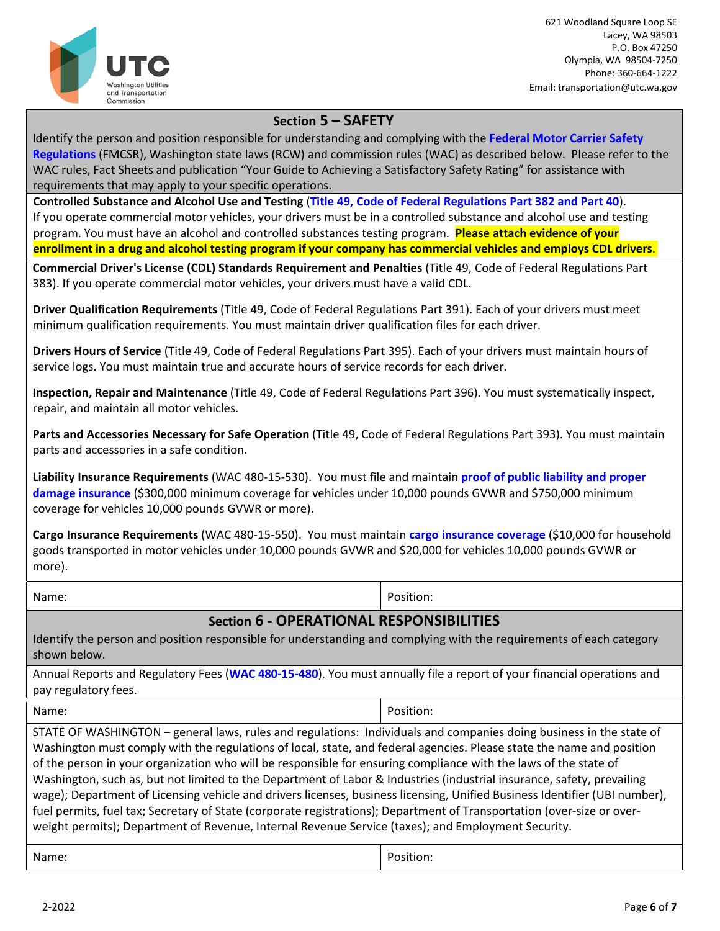

621 Woodland Square Loop SE Lacey, WA 98503 P.O. Box 47250 Olympia, WA 98504-7250 Phone: 360-664-1222 Email: transportation@utc.wa.gov

## **Section 5 – SAFETY**

Identify the person and position responsible for understanding and complying with the **[Federal Motor](http://www.fmcsa.dot.gov/) Carrier Safety [Regulations](http://www.fmcsa.dot.gov/)** (FMCSR), Washington state laws (RCW) and commission rules (WAC) as described below. Please refer to the WAC rules, Fact Sheets and publication "Your Guide to Achieving a Satisfactory Safety Rating" for assistance with requirements that may apply to your specific operations.

**Controlled Substance and Alcohol Use and Testing** (**Title 49, Code of Federal [Regulations](http://www.fmcsa.dot.gov/regulations/title49/part/382) Part 382 and Part 40**). If you operate commercial motor vehicles, your drivers must be in a controlled substance and alcohol use and testing program. You must have an alcohol and controlled substances testing program. **Please attach evidence of your enrollment in a drug and alcohol testing program if your company has commercial vehicles and employs CDL drivers**.

**Commercial Driver's License (CDL) Standards Requirement and Penalties** (Title 49, Code of Federal Regulations Part 383). If you operate commercial motor vehicles, your drivers must have a valid CDL.

**Driver Qualification Requirements** (Title 49, Code of Federal Regulations Part 391). Each of your drivers must meet minimum qualification requirements. You must maintain driver qualification files for each driver.

**Drivers Hours of Service** (Title 49, Code of Federal Regulations Part 395). Each of your drivers must maintain hours of service logs. You must maintain true and accurate hours of service records for each driver.

**Inspection, Repair and Maintenance** (Title 49, Code of Federal Regulations Part 396). You must systematically inspect, repair, and maintain all motor vehicles.

**Parts and Accessories Necessary for Safe Operation** (Title 49, Code of Federal Regulations Part 393). You must maintain parts and accessories in a safe condition.

**Liability Insurance Requirements** (WAC 480-15-530). You must file and maintain **proof of public liability and proper damage insurance** (\$300,000 minimum coverage for vehicles under 10,000 pounds GVWR and \$750,000 minimum coverage for vehicles 10,000 pounds GVWR or more).

**Cargo Insurance Requirements** (WAC 480-15-550). You must maintain **cargo insurance coverage** (\$10,000 for household goods transported in motor vehicles under 10,000 pounds GVWR and \$20,000 for vehicles 10,000 pounds GVWR or more).

Name: Position: Position: Position: Position: Position: Position: Position: Position: Position: Position: Position: Position: Position: Position: Position: Position: Position: Position: Position: Position: Position: Positi

## **Section 6 - OPERATIONAL RESPONSIBILITIES**

Identify the person and position responsible for understanding and complying with the requirements of each category shown below.

Annual Reports and Regulatory Fees (**[WAC 480-15-480](http://apps.leg.wa.gov/wac/default.aspx?cite=480-15-480)**). You must annually file a report of your financial operations and pay regulatory fees.

Name: Position: Position: Position: Position: Position: Position: Position: Position: Position: Position: Position: Position: Position: Position: Position: Position: Position: Position: Position: Position: Position: Positi

STATE OF WASHINGTON – general laws, rules and regulations: Individuals and companies doing business in the state of Washington must comply with the regulations of local, state, and federal agencies. Please state the name and position of the person in your organization who will be responsible for ensuring compliance with the laws of the state of Washington, such as, but not limited to the Department of Labor & Industries (industrial insurance, safety, prevailing wage); Department of Licensing vehicle and drivers licenses, business licensing, Unified Business Identifier (UBI number), fuel permits, fuel tax; Secretary of State (corporate registrations); Department of Transportation (over-size or overweight permits); Department of Revenue, Internal Revenue Service (taxes); and Employment Security.

Name: Position: Position: Position: Position: Position: Position: Position: Position: Position: Position: Position: Position: Position: Position: Position: Position: Position: Position: Position: Position: Position: Positi